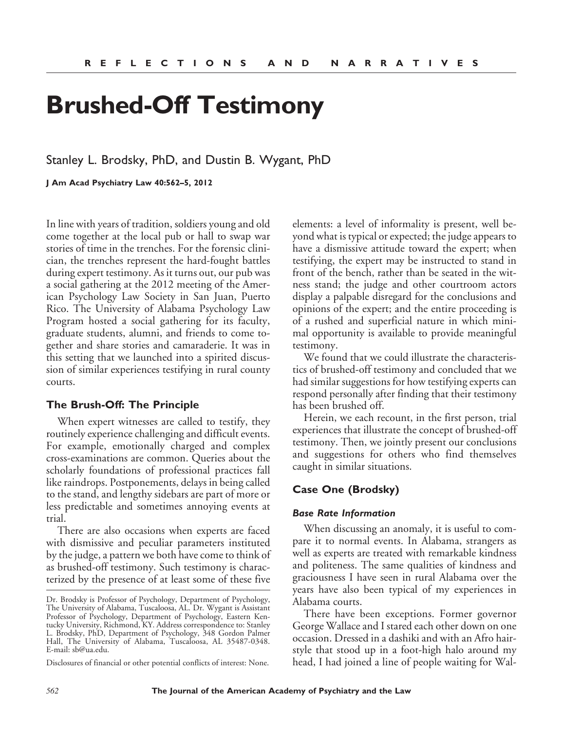# **Brushed-Off Testimony**

Stanley L. Brodsky, PhD, and Dustin B. Wygant, PhD

**J Am Acad Psychiatry Law 40:562–5, 2012**

In line with years of tradition, soldiers young and old come together at the local pub or hall to swap war stories of time in the trenches. For the forensic clinician, the trenches represent the hard-fought battles during expert testimony. As it turns out, our pub was a social gathering at the 2012 meeting of the American Psychology Law Society in San Juan, Puerto Rico. The University of Alabama Psychology Law Program hosted a social gathering for its faculty, graduate students, alumni, and friends to come together and share stories and camaraderie. It was in this setting that we launched into a spirited discussion of similar experiences testifying in rural county courts.

#### **The Brush-Off: The Principle**

When expert witnesses are called to testify, they routinely experience challenging and difficult events. For example, emotionally charged and complex cross-examinations are common. Queries about the scholarly foundations of professional practices fall like raindrops. Postponements, delays in being called to the stand, and lengthy sidebars are part of more or less predictable and sometimes annoying events at trial.

There are also occasions when experts are faced with dismissive and peculiar parameters instituted by the judge, a pattern we both have come to think of as brushed-off testimony. Such testimony is characterized by the presence of at least some of these five

Disclosures of financial or other potential conflicts of interest: None.

elements: a level of informality is present, well beyond what is typical or expected; the judge appears to have a dismissive attitude toward the expert; when testifying, the expert may be instructed to stand in front of the bench, rather than be seated in the witness stand; the judge and other courtroom actors display a palpable disregard for the conclusions and opinions of the expert; and the entire proceeding is of a rushed and superficial nature in which minimal opportunity is available to provide meaningful testimony.

We found that we could illustrate the characteristics of brushed-off testimony and concluded that we had similar suggestions for how testifying experts can respond personally after finding that their testimony has been brushed off.

Herein, we each recount, in the first person, trial experiences that illustrate the concept of brushed-off testimony. Then, we jointly present our conclusions and suggestions for others who find themselves caught in similar situations.

## **Case One (Brodsky)**

#### *Base Rate Information*

When discussing an anomaly, it is useful to compare it to normal events. In Alabama, strangers as well as experts are treated with remarkable kindness and politeness. The same qualities of kindness and graciousness I have seen in rural Alabama over the years have also been typical of my experiences in Alabama courts.

There have been exceptions. Former governor George Wallace and I stared each other down on one occasion. Dressed in a dashiki and with an Afro hairstyle that stood up in a foot-high halo around my head, I had joined a line of people waiting for Wal-

Dr. Brodsky is Professor of Psychology, Department of Psychology, The University of Alabama, Tuscaloosa, AL. Dr. Wygant is Assistant Professor of Psychology, Department of Psychology, Eastern Kentucky University, Richmond, KY. Address correspondence to: Stanley L. Brodsky, PhD, Department of Psychology, 348 Gordon Palmer Hall, The University of Alabama, Tuscaloosa, AL 35487-0348. E-mail: sb@ua.edu.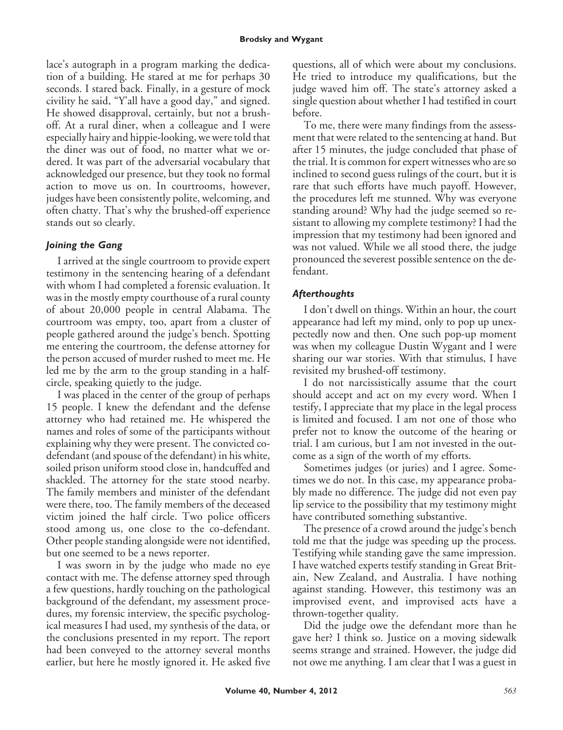lace's autograph in a program marking the dedication of a building. He stared at me for perhaps 30 seconds. I stared back. Finally, in a gesture of mock civility he said, "Y'all have a good day," and signed. He showed disapproval, certainly, but not a brushoff. At a rural diner, when a colleague and I were especially hairy and hippie-looking, we were told that the diner was out of food, no matter what we ordered. It was part of the adversarial vocabulary that acknowledged our presence, but they took no formal action to move us on. In courtrooms, however, judges have been consistently polite, welcoming, and often chatty. That's why the brushed-off experience stands out so clearly.

## *Joining the Gang*

I arrived at the single courtroom to provide expert testimony in the sentencing hearing of a defendant with whom I had completed a forensic evaluation. It was in the mostly empty courthouse of a rural county of about 20,000 people in central Alabama. The courtroom was empty, too, apart from a cluster of people gathered around the judge's bench. Spotting me entering the courtroom, the defense attorney for the person accused of murder rushed to meet me. He led me by the arm to the group standing in a halfcircle, speaking quietly to the judge.

I was placed in the center of the group of perhaps 15 people. I knew the defendant and the defense attorney who had retained me. He whispered the names and roles of some of the participants without explaining why they were present. The convicted codefendant (and spouse of the defendant) in his white, soiled prison uniform stood close in, handcuffed and shackled. The attorney for the state stood nearby. The family members and minister of the defendant were there, too. The family members of the deceased victim joined the half circle. Two police officers stood among us, one close to the co-defendant. Other people standing alongside were not identified, but one seemed to be a news reporter.

I was sworn in by the judge who made no eye contact with me. The defense attorney sped through a few questions, hardly touching on the pathological background of the defendant, my assessment procedures, my forensic interview, the specific psychological measures I had used, my synthesis of the data, or the conclusions presented in my report. The report had been conveyed to the attorney several months earlier, but here he mostly ignored it. He asked five questions, all of which were about my conclusions. He tried to introduce my qualifications, but the judge waved him off. The state's attorney asked a single question about whether I had testified in court before.

To me, there were many findings from the assessment that were related to the sentencing at hand. But after 15 minutes, the judge concluded that phase of the trial. It is common for expert witnesses who are so inclined to second guess rulings of the court, but it is rare that such efforts have much payoff. However, the procedures left me stunned. Why was everyone standing around? Why had the judge seemed so resistant to allowing my complete testimony? I had the impression that my testimony had been ignored and was not valued. While we all stood there, the judge pronounced the severest possible sentence on the defendant.

## *Afterthoughts*

I don't dwell on things. Within an hour, the court appearance had left my mind, only to pop up unexpectedly now and then. One such pop-up moment was when my colleague Dustin Wygant and I were sharing our war stories. With that stimulus, I have revisited my brushed-off testimony.

I do not narcissistically assume that the court should accept and act on my every word. When I testify, I appreciate that my place in the legal process is limited and focused. I am not one of those who prefer not to know the outcome of the hearing or trial. I am curious, but I am not invested in the outcome as a sign of the worth of my efforts.

Sometimes judges (or juries) and I agree. Sometimes we do not. In this case, my appearance probably made no difference. The judge did not even pay lip service to the possibility that my testimony might have contributed something substantive.

The presence of a crowd around the judge's bench told me that the judge was speeding up the process. Testifying while standing gave the same impression. I have watched experts testify standing in Great Britain, New Zealand, and Australia. I have nothing against standing. However, this testimony was an improvised event, and improvised acts have a thrown-together quality.

Did the judge owe the defendant more than he gave her? I think so. Justice on a moving sidewalk seems strange and strained. However, the judge did not owe me anything. I am clear that I was a guest in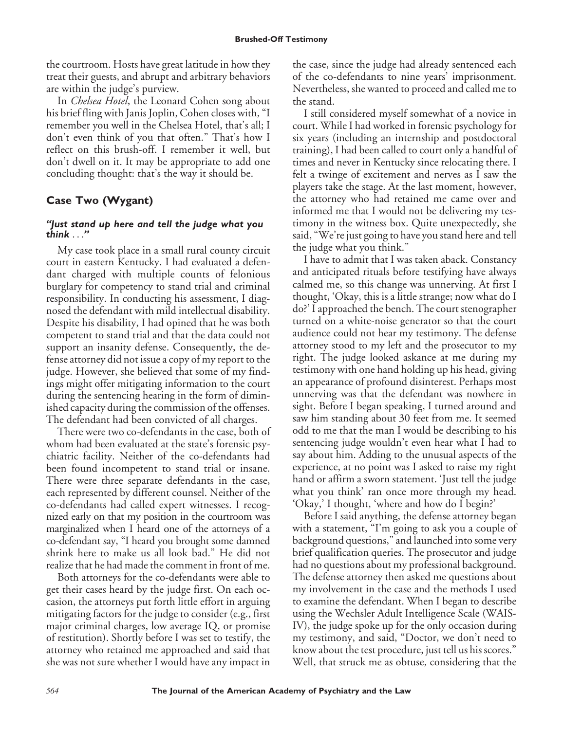the courtroom. Hosts have great latitude in how they treat their guests, and abrupt and arbitrary behaviors are within the judge's purview.

In *Chelsea Hotel*, the Leonard Cohen song about his brief fling with Janis Joplin, Cohen closes with, "I remember you well in the Chelsea Hotel, that's all; I don't even think of you that often." That's how I reflect on this brush-off. I remember it well, but don't dwell on it. It may be appropriate to add one concluding thought: that's the way it should be.

## **Case Two (Wygant)**

#### *"Just stand up here and tell the judge what you think* ...*"*

My case took place in a small rural county circuit court in eastern Kentucky. I had evaluated a defendant charged with multiple counts of felonious burglary for competency to stand trial and criminal responsibility. In conducting his assessment, I diagnosed the defendant with mild intellectual disability. Despite his disability, I had opined that he was both competent to stand trial and that the data could not support an insanity defense. Consequently, the defense attorney did not issue a copy of my report to the judge. However, she believed that some of my findings might offer mitigating information to the court during the sentencing hearing in the form of diminished capacity during the commission of the offenses. The defendant had been convicted of all charges.

There were two co-defendants in the case, both of whom had been evaluated at the state's forensic psychiatric facility. Neither of the co-defendants had been found incompetent to stand trial or insane. There were three separate defendants in the case, each represented by different counsel. Neither of the co-defendants had called expert witnesses. I recognized early on that my position in the courtroom was marginalized when I heard one of the attorneys of a co-defendant say, "I heard you brought some damned shrink here to make us all look bad." He did not realize that he had made the comment in front of me.

Both attorneys for the co-defendants were able to get their cases heard by the judge first. On each occasion, the attorneys put forth little effort in arguing mitigating factors for the judge to consider (e.g., first major criminal charges, low average IQ, or promise of restitution). Shortly before I was set to testify, the attorney who retained me approached and said that she was not sure whether I would have any impact in the case, since the judge had already sentenced each of the co-defendants to nine years' imprisonment. Nevertheless, she wanted to proceed and called me to the stand.

I still considered myself somewhat of a novice in court. While I had worked in forensic psychology for six years (including an internship and postdoctoral training), I had been called to court only a handful of times and never in Kentucky since relocating there. I felt a twinge of excitement and nerves as I saw the players take the stage. At the last moment, however, the attorney who had retained me came over and informed me that I would not be delivering my testimony in the witness box. Quite unexpectedly, she said, "We're just going to have you stand here and tell the judge what you think."

I have to admit that I was taken aback. Constancy and anticipated rituals before testifying have always calmed me, so this change was unnerving. At first I thought, 'Okay, this is a little strange; now what do I do?' I approached the bench. The court stenographer turned on a white-noise generator so that the court audience could not hear my testimony. The defense attorney stood to my left and the prosecutor to my right. The judge looked askance at me during my testimony with one hand holding up his head, giving an appearance of profound disinterest. Perhaps most unnerving was that the defendant was nowhere in sight. Before I began speaking, I turned around and saw him standing about 30 feet from me. It seemed odd to me that the man I would be describing to his sentencing judge wouldn't even hear what I had to say about him. Adding to the unusual aspects of the experience, at no point was I asked to raise my right hand or affirm a sworn statement. 'Just tell the judge what you think' ran once more through my head. 'Okay,' I thought, 'where and how do I begin?'

Before I said anything, the defense attorney began with a statement, "I'm going to ask you a couple of background questions," and launched into some very brief qualification queries. The prosecutor and judge had no questions about my professional background. The defense attorney then asked me questions about my involvement in the case and the methods I used to examine the defendant. When I began to describe using the Wechsler Adult Intelligence Scale (WAIS-IV), the judge spoke up for the only occasion during my testimony, and said, "Doctor, we don't need to know about the test procedure, just tell us his scores." Well, that struck me as obtuse, considering that the